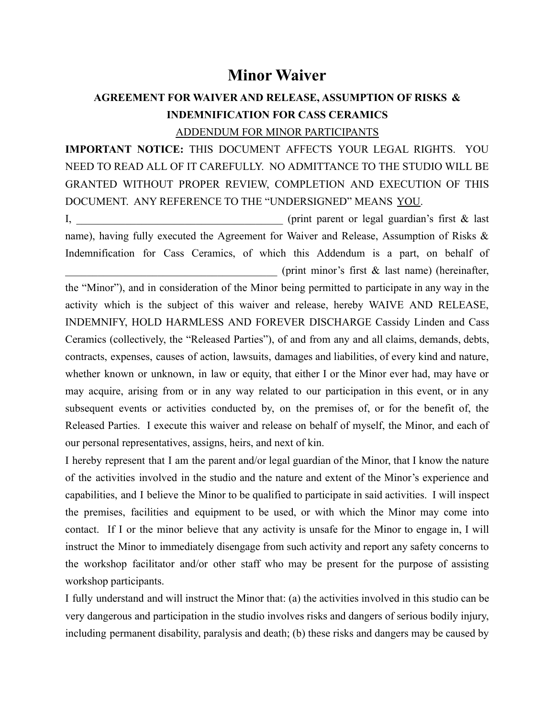## **Minor Waiver**

## **AGREEMENT FOR WAIVER AND RELEASE, ASSUMPTION OF RISKS & INDEMNIFICATION FOR CASS CERAMICS**

## ADDENDUM FOR MINOR PARTICIPANTS

**IMPORTANT NOTICE:** THIS DOCUMENT AFFECTS YOUR LEGAL RIGHTS. YOU NEED TO READ ALL OF IT CAREFULLY. NO ADMITTANCE TO THE STUDIO WILL BE GRANTED WITHOUT PROPER REVIEW, COMPLETION AND EXECUTION OF THIS DOCUMENT. ANY REFERENCE TO THE "UNDERSIGNED" MEANS YOU.

I, the example of the example of the example of the example of the example of the example of the example of the example of the example of the example of the example of the example of the example of the example of the examp name), having fully executed the Agreement for Waiver and Release, Assumption of Risks & Indemnification for Cass Ceramics, of which this Addendum is a part, on behalf of (print minor's first  $\&$  last name) (hereinafter,

the "Minor"), and in consideration of the Minor being permitted to participate in any way in the activity which is the subject of this waiver and release, hereby WAIVE AND RELEASE, INDEMNIFY, HOLD HARMLESS AND FOREVER DISCHARGE Cassidy Linden and Cass Ceramics (collectively, the "Released Parties"), of and from any and all claims, demands, debts, contracts, expenses, causes of action, lawsuits, damages and liabilities, of every kind and nature, whether known or unknown, in law or equity, that either I or the Minor ever had, may have or may acquire, arising from or in any way related to our participation in this event, or in any subsequent events or activities conducted by, on the premises of, or for the benefit of, the Released Parties. I execute this waiver and release on behalf of myself, the Minor, and each of our personal representatives, assigns, heirs, and next of kin.

I hereby represent that I am the parent and/or legal guardian of the Minor, that I know the nature of the activities involved in the studio and the nature and extent of the Minor's experience and capabilities, and I believe the Minor to be qualified to participate in said activities. I will inspect the premises, facilities and equipment to be used, or with which the Minor may come into contact. If I or the minor believe that any activity is unsafe for the Minor to engage in, I will instruct the Minor to immediately disengage from such activity and report any safety concerns to the workshop facilitator and/or other staff who may be present for the purpose of assisting workshop participants.

I fully understand and will instruct the Minor that: (a) the activities involved in this studio can be very dangerous and participation in the studio involves risks and dangers of serious bodily injury, including permanent disability, paralysis and death; (b) these risks and dangers may be caused by